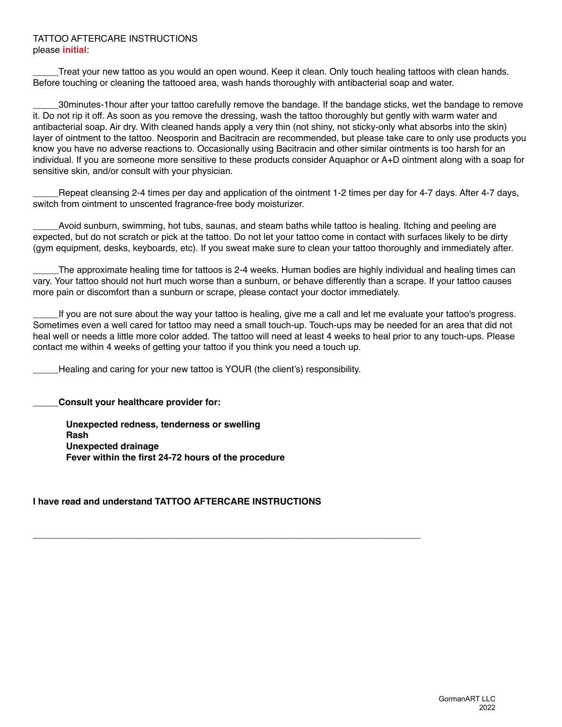#### TATTOO AFTERCARE INSTRUCTIONS please **initial**:

Treat your new tattoo as you would an open wound. Keep it clean. Only touch healing tattoos with clean hands. Before touching or cleaning the tattooed area, wash hands thoroughly with antibacterial soap and water.

\_\_\_\_\_30minutes-1hour after your tattoo carefully remove the bandage. If the bandage sticks, wet the bandage to remove it. Do not rip it off. As soon as you remove the dressing, wash the tattoo thoroughly but gently with warm water and antibacterial soap. Air dry. With cleaned hands apply a very thin (not shiny, not sticky-only what absorbs into the skin) layer of ointment to the tattoo. Neosporin and Bacitracin are recommended, but please take care to only use products you know you have no adverse reactions to. Occasionally using Bacitracin and other similar ointments is too harsh for an individual. If you are someone more sensitive to these products consider Aquaphor or A+D ointment along with a soap for sensitive skin, and/or consult with your physician.

Repeat cleansing 2-4 times per day and application of the ointment 1-2 times per day for 4-7 days. After 4-7 days, switch from ointment to unscented fragrance-free body moisturizer.

Avoid sunburn, swimming, hot tubs, saunas, and steam baths while tattoo is healing. Itching and peeling are expected, but do not scratch or pick at the tattoo. Do not let your tattoo come in contact with surfaces likely to be dirty (gym equipment, desks, keyboards, etc). If you sweat make sure to clean your tattoo thoroughly and immediately after.

The approximate healing time for tattoos is 2-4 weeks. Human bodies are highly individual and healing times can vary. Your tattoo should not hurt much worse than a sunburn, or behave differently than a scrape. If your tattoo causes more pain or discomfort than a sunburn or scrape, please contact your doctor immediately.

If you are not sure about the way your tattoo is healing, give me a call and let me evaluate your tattoo's progress. Sometimes even a well cared for tattoo may need a small touch-up. Touch-ups may be needed for an area that did not heal well or needs a little more color added. The tattoo will need at least 4 weeks to heal prior to any touch-ups. Please contact me within 4 weeks of getting your tattoo if you think you need a touch up.

Healing and caring for your new tattoo is YOUR (the client's) responsibility.

**\_\_\_\_\_Consult your healthcare provider for:**

**Unexpected redness, tenderness or swelling Rash Unexpected drainage Fever within the first 24-72 hours of the procedure**

## **I have read and understand TATTOO AFTERCARE INSTRUCTIONS**

**\_\_\_\_\_\_\_\_\_\_\_\_\_\_\_\_\_\_\_\_\_\_\_\_\_\_\_\_\_\_\_\_\_\_\_\_\_\_\_\_\_\_\_\_\_\_\_\_\_\_\_\_\_\_\_\_\_\_\_\_\_\_\_\_\_\_\_\_\_\_\_\_\_\_\_\_**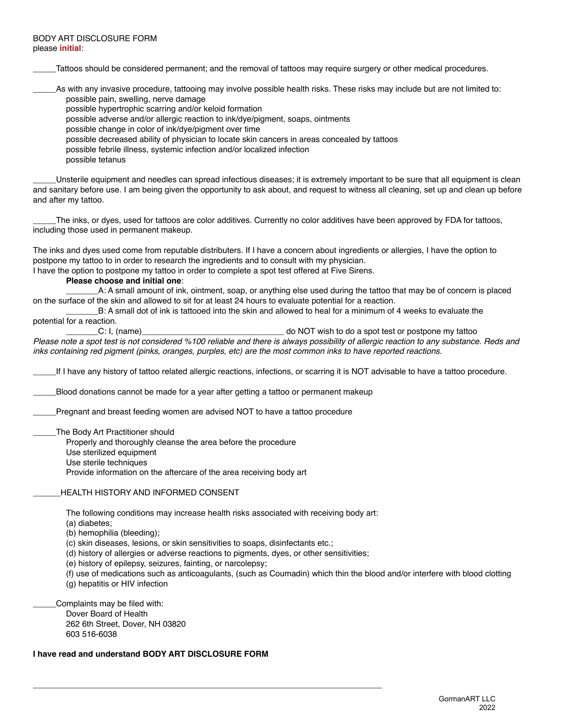Tattoos should be considered permanent; and the removal of tattoos may require surgery or other medical procedures.

\_\_\_\_\_As with any invasive procedure, tattooing may involve possible health risks. These risks may include but are not limited to: possible pain, swelling, nerve damage

possible hypertrophic scarring and/or keloid formation

possible adverse and/or allergic reaction to ink/dye/pigment, soaps, ointments

possible change in color of ink/dye/pigment over time

possible decreased ability of physician to locate skin cancers in areas concealed by tattoos

possible febrile illness, systemic infection and/or localized infection

possible tetanus

Unsterile equipment and needles can spread infectious diseases; it is extremely important to be sure that all equipment is clean and sanitary before use. I am being given the opportunity to ask about, and request to witness all cleaning, set up and clean up before and after my tattoo.

The inks, or dyes, used for tattoos are color additives. Currently no color additives have been approved by FDA for tattoos, including those used in permanent makeup.

The inks and dyes used come from reputable distributers. If I have a concern about ingredients or allergies, I have the option to postpone my tattoo to in order to research the ingredients and to consult with my physician.

I have the option to postpone my tattoo in order to complete a spot test offered at Five Sirens.

**Please choose and initial one**:

\_\_\_\_\_\_\_A: A small amount of ink, ointment, soap, or anything else used during the tattoo that may be of concern is placed on the surface of the skin and allowed to sit for at least 24 hours to evaluate potential for a reaction.

B: A small dot of ink is tattooed into the skin and allowed to heal for a minimum of 4 weeks to evaluate the potential for a reaction.

C: I, (name) C: I, (name) C: I, (name) contract of the state of  $\sim$  do NOT wish to do a spot test or postpone my tattoo

*Please note a spot test is not considered %100 reliable and there is always possibility of allergic reaction to any substance. Reds and inks containing red pigment (pinks, oranges, purples, etc) are the most common inks to have reported reactions.*

\_\_\_\_\_If I have any history of tattoo related allergic reactions, infections, or scarring it is NOT advisable to have a tattoo procedure.

Blood donations cannot be made for a year after getting a tattoo or permanent makeup

Pregnant and breast feeding women are advised NOT to have a tattoo procedure

The Body Art Practitioner should

Properly and thoroughly cleanse the area before the procedure

Use sterilized equipment

Use sterile techniques

Provide information on the aftercare of the area receiving body art

#### HEALTH HISTORY AND INFORMED CONSENT

The following conditions may increase health risks associated with receiving body art:

(a) diabetes;

(b) hemophilia (bleeding);

(c) skin diseases, lesions, or skin sensitivities to soaps, disinfectants etc.;

**\_\_\_\_\_\_\_\_\_\_\_\_\_\_\_\_\_\_\_\_\_\_\_\_\_\_\_\_\_\_\_\_\_\_\_\_\_\_\_\_\_\_\_\_\_\_\_\_\_\_\_\_\_\_\_\_\_\_\_\_\_\_\_\_\_\_\_\_\_\_\_\_\_\_\_\_**

(d) history of allergies or adverse reactions to pigments, dyes, or other sensitivities;

(e) history of epilepsy, seizures, fainting, or narcolepsy;

(f) use of medications such as anticoagulants, (such as Coumadin) which thin the blood and/or interfere with blood clotting (g) hepatitis or HIV infection

Complaints may be filed with: Dover Board of Health 262 6th Street, Dover, NH 03820 603 516-6038

**I have read and understand BODY ART DISCLOSURE FORM**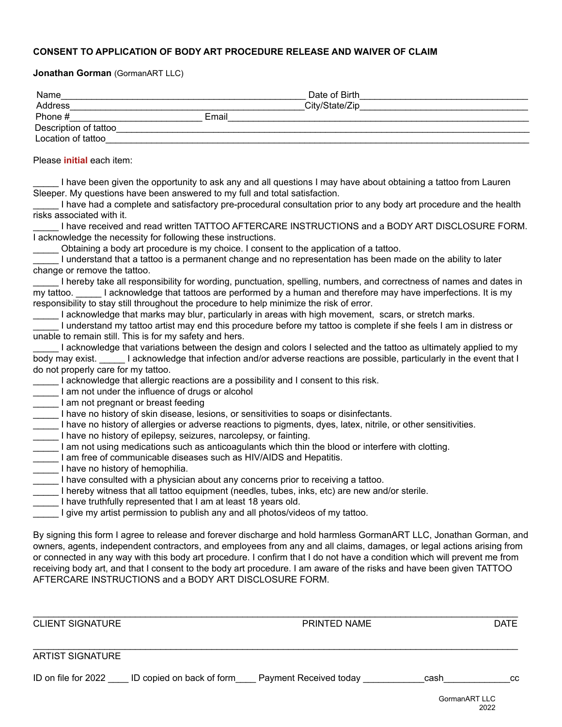### **CONSENT TO APPLICATION OF BODY ART PROCEDURE RELEASE AND WAIVER OF CLAIM**

**Jonathan Gorman** (GormanART LLC)

| Name                   |       | Date of Birth  |  |
|------------------------|-------|----------------|--|
| Address                |       | City/State/Zip |  |
| Phone #                | Email |                |  |
| Description of tattoo_ |       |                |  |
| Location of tattoo     |       |                |  |

Please **initial** each item:

I have been given the opportunity to ask any and all questions I may have about obtaining a tattoo from Lauren Sleeper. My questions have been answered to my full and total satisfaction.

\_\_\_\_\_ I have had a complete and satisfactory pre-procedural consultation prior to any body art procedure and the health risks associated with it.

I have received and read written TATTOO AFTERCARE INSTRUCTIONS and a BODY ART DISCLOSURE FORM. I acknowledge the necessity for following these instructions.

\_\_\_\_\_ Obtaining a body art procedure is my choice. I consent to the application of a tattoo.

\_\_\_\_\_ I understand that a tattoo is a permanent change and no representation has been made on the ability to later change or remove the tattoo.

I hereby take all responsibility for wording, punctuation, spelling, numbers, and correctness of names and dates in my tattoo. I acknowledge that tattoos are performed by a human and therefore may have imperfections. It is my responsibility to stay still throughout the procedure to help minimize the risk of error.

I acknowledge that marks may blur, particularly in areas with high movement, scars, or stretch marks.

\_\_\_\_\_ I understand my tattoo artist may end this procedure before my tattoo is complete if she feels I am in distress or unable to remain still. This is for my safety and hers.

|                                     | I acknowledge that variations between the design and colors I selected and the tattoo as ultimately applied to my |
|-------------------------------------|-------------------------------------------------------------------------------------------------------------------|
| body may exist.                     | I acknowledge that infection and/or adverse reactions are possible, particularly in the event that I              |
| do not properly care for my tattoo. |                                                                                                                   |

I acknowledge that allergic reactions are a possibility and I consent to this risk.

I am not under the influence of drugs or alcohol

I am not pregnant or breast feeding

\_\_\_\_\_ I have no history of skin disease, lesions, or sensitivities to soaps or disinfectants.

- I have no history of allergies or adverse reactions to pigments, dyes, latex, nitrile, or other sensitivities.
- I have no history of epilepsy, seizures, narcolepsy, or fainting.
- Lam not using medications such as anticoagulants which thin the blood or interfere with clotting.
- I am free of communicable diseases such as HIV/AIDS and Hepatitis.
- I have no history of hemophilia.
- I have consulted with a physician about any concerns prior to receiving a tattoo.
- I hereby witness that all tattoo equipment (needles, tubes, inks, etc) are new and/or sterile.
- \_\_\_\_\_ I have truthfully represented that I am at least 18 years old.
- I give my artist permission to publish any and all photos/videos of my tattoo.

By signing this form I agree to release and forever discharge and hold harmless GormanART LLC, Jonathan Gorman, and owners, agents, independent contractors, and employees from any and all claims, damages, or legal actions arising from or connected in any way with this body art procedure. I confirm that I do not have a condition which will prevent me from receiving body art, and that I consent to the body art procedure. I am aware of the risks and have been given TATTOO AFTERCARE INSTRUCTIONS and a BODY ART DISCLOSURE FORM.

\_\_\_\_\_\_\_\_\_\_\_\_\_\_\_\_\_\_\_\_\_\_\_\_\_\_\_\_\_\_\_\_\_\_\_\_\_\_\_\_\_\_\_\_\_\_\_\_\_\_\_\_\_\_\_\_\_\_\_\_\_\_\_\_\_\_\_\_\_\_\_\_\_\_\_\_\_\_\_\_\_\_\_\_\_\_\_\_\_\_\_\_\_\_\_

\_\_\_\_\_\_\_\_\_\_\_\_\_\_\_\_\_\_\_\_\_\_\_\_\_\_\_\_\_\_\_\_\_\_\_\_\_\_\_\_\_\_\_\_\_\_\_\_\_\_\_\_\_\_\_\_\_\_\_\_\_\_\_\_\_\_\_\_\_\_\_\_\_\_\_\_\_\_\_\_\_\_\_\_\_\_\_\_\_\_\_\_\_\_\_

CLIENT SIGNATURE DATE PRINTED NAME

# ARTIST SIGNATURE

| ID on file for 2022 | ID copied on back of form | <b>Payment Received today</b> | cash | co<br>◡ |
|---------------------|---------------------------|-------------------------------|------|---------|
|---------------------|---------------------------|-------------------------------|------|---------|